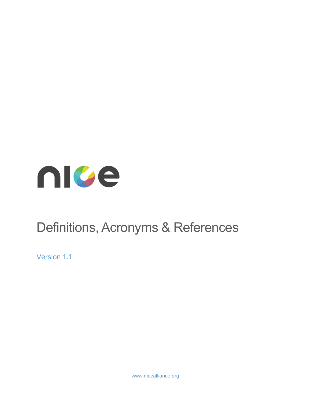

# Definitions, Acronyms & References

Version 1.1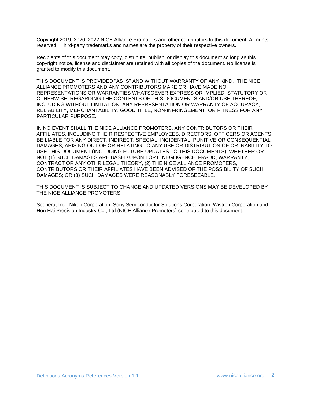Copyright 2019, 2020, 2022 NICE Alliance Promoters and other contributors to this document. All rights reserved. Third-party trademarks and names are the property of their respective owners.

Recipients of this document may copy, distribute, publish, or display this document so long as this copyright notice, license and disclaimer are retained with all copies of the document. No license is granted to modify this document.

THIS DOCUMENT IS PROVIDED "AS IS" AND WITHOUT WARRANTY OF ANY KIND. THE NICE ALLIANCE PROMOTERS AND ANY CONTRIBUTORS MAKE OR HAVE MADE NO REPRESENTATIONS OR WARRANTIES WHATSOEVER EXPRESS OR IMPLIED, STATUTORY OR OTHERWISE, REGARDING THE CONTENTS OF THIS DOCUMENTS AND/OR USE THEREOF, INCLUDING WITHOUT LIMITATION, ANY REPRESENTATION OR WARRANTY OF ACCURACY, RELIABILITY, MERCHANTABILITY, GOOD TITLE, NON-INFRINGEMENT, OR FITNESS FOR ANY PARTICULAR PURPOSE.

IN NO EVENT SHALL THE NICE ALLIANCE PROMOTERS, ANY CONTRIBUTORS OR THEIR AFFILIATES, INCLUDING THEIR RESPECTIVE EMPLOYEES, DIRECTORS, OFFICERS OR AGENTS, BE LIABLE FOR ANY DIRECT, INDIRECT, SPECIAL, INCIDENTAL, PUNITIVE OR CONSEQUENTIAL DAMAGES, ARISING OUT OF OR RELATING TO ANY USE OR DISTRIBUTION OF OR INABILITY TO USE THIS DOCUMENT (INCLUDING FUTURE UPDATES TO THIS DOCUMENTS), WHETHER OR NOT (1) SUCH DAMAGES ARE BASED UPON TORT, NEGLIGENCE, FRAUD, WARRANTY, CONTRACT OR ANY OTHR LEGAL THEORY, (2) THE NICE ALLIANCE PROMOTERS, CONTRIBUTORS OR THEIR AFFILIATES HAVE BEEN ADVISED OF THE POSSIBILITY OF SUCH DAMAGES; OR (3) SUCH DAMAGES WERE REASONABLY FORESEEABLE.

THIS DOCUMENT IS SUBJECT TO CHANGE AND UPDATED VERSIONS MAY BE DEVELOPED BY THE NICE ALLIANCE PROMOTERS.

Scenera, Inc., Nikon Corporation, Sony Semiconductor Solutions Corporation, Wistron Corporation and Hon Hai Precision Industry Co., Ltd.(NICE Alliance Promoters) contributed to this document.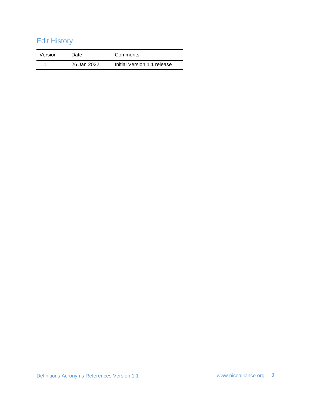## Edit History

| Version | Date        | Comments                    |
|---------|-------------|-----------------------------|
| 11      | 26 Jan 2022 | Initial Version 1.1 release |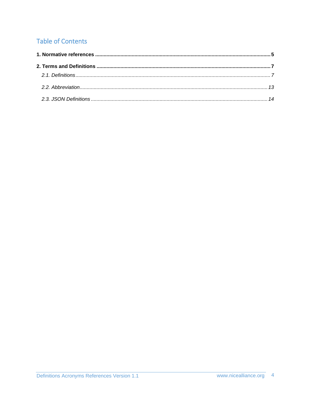## **Table of Contents**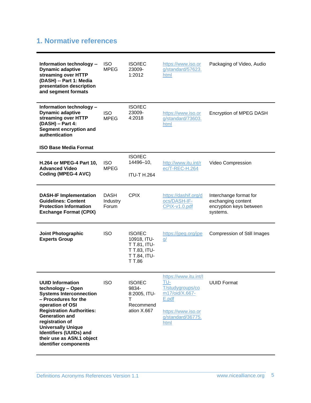### <span id="page-4-0"></span>**1. Normative references**

| Information technology --<br><b>Dynamic adaptive</b><br>streaming over HTTP<br>(DASH) -- Part 1: Media<br>presentation description<br>and segment formats                                                                                                                                                                       | <b>ISO</b><br><b>MPEG</b>        | <b>ISO/IEC</b><br>23009-<br>1:2012                                                      | https://www.iso.or<br>g/standard/57623.<br>html                                                                                | Packaging of Video, Audio                                                           |
|---------------------------------------------------------------------------------------------------------------------------------------------------------------------------------------------------------------------------------------------------------------------------------------------------------------------------------|----------------------------------|-----------------------------------------------------------------------------------------|--------------------------------------------------------------------------------------------------------------------------------|-------------------------------------------------------------------------------------|
| Information technology -<br><b>Dynamic adaptive</b><br>streaming over HTTP<br>(DASH) - Part 4:<br>Segment encryption and<br>authentication<br><b>ISO Base Media Format</b>                                                                                                                                                      | <b>ISO</b><br><b>MPEG</b>        | <b>ISO/IEC</b><br>23009-<br>4:2018                                                      | https://www.iso.or<br>g/standard/73603.<br>html                                                                                | Encryption of MPEG DASH                                                             |
| <b>H.264 or MPEG-4 Part 10,</b><br><b>Advanced Video</b><br>Coding (MPEG-4 AVC)                                                                                                                                                                                                                                                 | <b>ISO</b><br><b>MPEG</b>        | <b>ISO/IEC</b><br>14496-10,<br><b>ITU-T H.264</b>                                       | http://www.itu.int/r<br>ec/T-REC-H.264                                                                                         | Video Compression                                                                   |
| <b>DASH-IF Implementation</b><br><b>Guidelines: Content</b><br><b>Protection Information</b><br><b>Exchange Format (CPIX)</b>                                                                                                                                                                                                   | <b>DASH</b><br>Industry<br>Forum | <b>CPIX</b>                                                                             | https://dashif.org/d<br>ocs/DASH-IF-<br>CPIX-v1.0.pdf                                                                          | Interchange format for<br>exchanging content<br>encryption keys between<br>systems. |
| Joint Photographic<br><b>Experts Group</b>                                                                                                                                                                                                                                                                                      | <b>ISO</b>                       | <b>ISO/IEC</b><br>10918, ITU-<br>T T.81, ITU-<br>T T.83, ITU-<br>T T.84, ITU-<br>T T.86 | https://jpeg.org/jpe<br>q/                                                                                                     | <b>Compression of Still Images</b>                                                  |
| <b>UUID Information</b><br>technology - Open<br><b>Systems Interconnection</b><br>- Procedures for the<br>operation of OSI<br><b>Registration Authorities:</b><br><b>Generation and</b><br>registration of<br><b>Universally Unique</b><br><b>Identifiers (UUIDs) and</b><br>their use as ASN.1 object<br>identifier components | <b>ISO</b>                       | <b>ISO/IEC</b><br>9834-<br>8:2005, ITU-<br>Τ<br>Recommend<br>ation X.667                | https://www.itu.int/l<br>TU-<br>T/studygroups/co<br>m17/oid/X.667-<br>E.pdf<br>https://www.iso.or<br>g/standard/36775.<br>html | <b>UUID Format</b>                                                                  |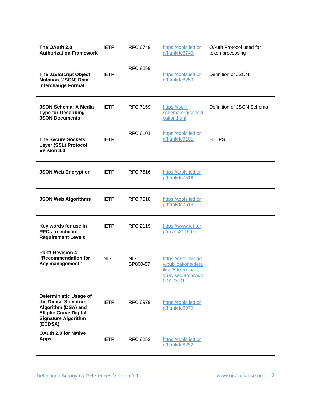| The OAuth 2.0<br><b>Authorization Framework</b>                                                                                                         | <b>IETF</b> | RFC 6749                | https://tools.ietf.or<br>g/html/rfc6749                                                               | OAuth Protocol used for<br>token processing |
|---------------------------------------------------------------------------------------------------------------------------------------------------------|-------------|-------------------------|-------------------------------------------------------------------------------------------------------|---------------------------------------------|
| The JavaScript Object<br><b>Notation (JSON) Data</b><br><b>Interchange Format</b>                                                                       | <b>IETF</b> | <b>RFC 8259</b>         | https://tools.ietf.or<br>g/html/rfc8259                                                               | Definition of JSON                          |
| <b>JSON Schema: A Media</b><br><b>Type for Describing</b><br><b>JSON Documents</b>                                                                      | <b>IETF</b> | <b>RFC 7159</b>         | https://json-<br>schema.org/specifi<br>cation.html                                                    | Definition of JSON Schema                   |
| <b>The Secure Sockets</b><br>Layer (SSL) Protocol<br>Version 3.0                                                                                        | <b>IETF</b> | RFC 6101                | https://tools.ietf.or<br>g/html/rfc6101                                                               | <b>HTTPS</b>                                |
| <b>JSON Web Encryption</b>                                                                                                                              | <b>IETF</b> | <b>RFC 7516</b>         | https://tools.ietf.or<br>g/html/rfc7516                                                               |                                             |
| <b>JSON Web Algorithms</b>                                                                                                                              | <b>IETF</b> | <b>RFC 7518</b>         | https://tools.ietf.or<br>g/html/rfc7518                                                               |                                             |
| Key words for use in<br><b>RFCs to Indicate</b><br><b>Requirement Levels</b>                                                                            | <b>IETF</b> | RFC 2119                | https://www.ietf.or<br>g/rfc/rfc2119.txt                                                              |                                             |
| <b>Part1 Revision 4</b><br>"Recommendation for<br>Key management"                                                                                       | <b>NIST</b> | <b>NIST</b><br>SP800-57 | https://csrc.nist.go<br>v/publications/deta<br>il/sp/800-57-part-<br>1/revised/archive/2<br>007-03-01 |                                             |
| <b>Deterministic Usage of</b><br>the Digital Signature<br>Algorithm (DSA) and<br><b>Elliptic Curve Digital</b><br><b>Signature Algorithm</b><br>(ECDSA) | <b>IETF</b> | <b>RFC 6979</b>         | https://tools.ietf.or<br>g/html/rfc6979                                                               |                                             |
| <b>OAuth 2.0 for Native</b><br><b>Apps</b>                                                                                                              | <b>IETF</b> | RFC 8252                | https://tools.ietf.or<br>g/html/rfc8252                                                               |                                             |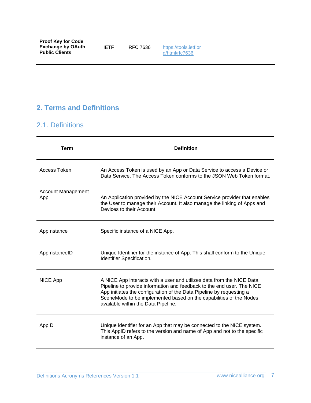#### <span id="page-6-1"></span><span id="page-6-0"></span>**2. Terms and Definitions**

#### 2.1. Definitions

| <b>Term</b>               | <b>Definition</b>                                                                                                                                                                                                                                                                                                                    |
|---------------------------|--------------------------------------------------------------------------------------------------------------------------------------------------------------------------------------------------------------------------------------------------------------------------------------------------------------------------------------|
| Access Token              | An Access Token is used by an App or Data Service to access a Device or<br>Data Service. The Access Token conforms to the JSON Web Token format.                                                                                                                                                                                     |
| Account Management<br>App | An Application provided by the NICE Account Service provider that enables<br>the User to manage their Account. It also manage the linking of Apps and<br>Devices to their Account.                                                                                                                                                   |
| AppInstance               | Specific instance of a NICE App.                                                                                                                                                                                                                                                                                                     |
| AppInstanceID             | Unique Identifier for the instance of App. This shall conform to the Unique<br>Identifier Specification.                                                                                                                                                                                                                             |
| NICE App                  | A NICE App interacts with a user and utilizes data from the NICE Data<br>Pipeline to provide information and feedback to the end user. The NICE<br>App initiates the configuration of the Data Pipeline by requesting a<br>SceneMode to be implemented based on the capabilities of the Nodes<br>available within the Data Pipeline. |
| AppID                     | Unique identifier for an App that may be connected to the NICE system.<br>This AppID refers to the version and name of App and not to the specific<br>instance of an App.                                                                                                                                                            |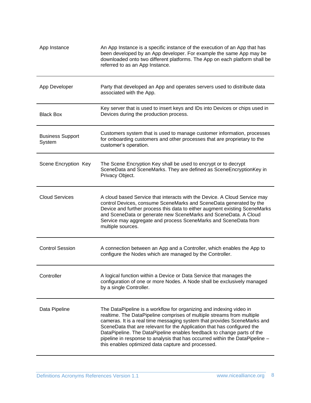| App Instance                      | An App Instance is a specific instance of the execution of an App that has<br>been developed by an App developer. For example the same App may be<br>downloaded onto two different platforms. The App on each platform shall be<br>referred to as an App Instance.                                                                                                                                                                                                                                                   |
|-----------------------------------|----------------------------------------------------------------------------------------------------------------------------------------------------------------------------------------------------------------------------------------------------------------------------------------------------------------------------------------------------------------------------------------------------------------------------------------------------------------------------------------------------------------------|
| App Developer                     | Party that developed an App and operates servers used to distribute data<br>associated with the App.                                                                                                                                                                                                                                                                                                                                                                                                                 |
| <b>Black Box</b>                  | Key server that is used to insert keys and IDs into Devices or chips used in<br>Devices during the production process.                                                                                                                                                                                                                                                                                                                                                                                               |
| <b>Business Support</b><br>System | Customers system that is used to manage customer information, processes<br>for onboarding customers and other processes that are proprietary to the<br>customer's operation.                                                                                                                                                                                                                                                                                                                                         |
| Scene Encryption Key              | The Scene Encryption Key shall be used to encrypt or to decrypt<br>SceneData and SceneMarks. They are defined as SceneEncryptionKey in<br>Privacy Object.                                                                                                                                                                                                                                                                                                                                                            |
| <b>Cloud Services</b>             | A cloud based Service that interacts with the Device. A Cloud Service may<br>control Devices, consume SceneMarks and SceneData generated by the<br>Device and further process this data to either augment existing SceneMarks<br>and SceneData or generate new SceneMarks and SceneData. A Cloud<br>Service may aggregate and process SceneMarks and SceneData from<br>multiple sources.                                                                                                                             |
| <b>Control Session</b>            | A connection between an App and a Controller, which enables the App to<br>configure the Nodes which are managed by the Controller.                                                                                                                                                                                                                                                                                                                                                                                   |
| Controller                        | A logical function within a Device or Data Service that manages the<br>configuration of one or more Nodes. A Node shall be exclusively managed<br>by a single Controller.                                                                                                                                                                                                                                                                                                                                            |
| Data Pipeline                     | The DataPipeline is a workflow for organizing and indexing video in<br>realtime. The DataPipeline comprises of multiple streams from multiple<br>cameras. It is a real time messaging system that provides SceneMarks and<br>SceneData that are relevant for the Application that has configured the<br>DataPipeline. The DataPipeline enables feedback to change parts of the<br>pipeline in response to analysis that has occurred within the DataPipeline -<br>this enables optimized data capture and processed. |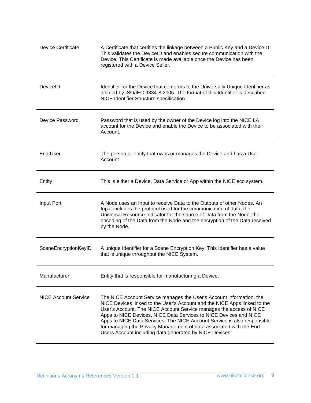| <b>Device Certificate</b>   | A Certificate that certifies the linkage between a Public Key and a DevicelD.<br>This validates the DeviceID and enables secure communication with the<br>Device. This Certificate is made available once the Device has been<br>registered with a Device Seller.                                                                                                                                                                                                                                           |
|-----------------------------|-------------------------------------------------------------------------------------------------------------------------------------------------------------------------------------------------------------------------------------------------------------------------------------------------------------------------------------------------------------------------------------------------------------------------------------------------------------------------------------------------------------|
| DeviceID                    | Identifier for the Device that conforms to the Universally Unique Identifier as<br>defined by ISO/IEC 9834-8:2005. The format of this Identifier is described<br>NICE Identifier Structure specification.                                                                                                                                                                                                                                                                                                   |
| Device Password             | Password that is used by the owner of the Device log into the NICE LA<br>account for the Device and enable the Device to be associated with their<br>Account.                                                                                                                                                                                                                                                                                                                                               |
| <b>End User</b>             | The person or entity that owns or manages the Device and has a User<br>Account.                                                                                                                                                                                                                                                                                                                                                                                                                             |
| Entity                      | This is either a Device, Data Service or App within the NICE eco system.                                                                                                                                                                                                                                                                                                                                                                                                                                    |
| Input Port                  | A Node uses an Input to receive Data to the Outputs of other Nodes. An<br>Input includes the protocol used for the communication of data, the<br>Universal Resource Indicator for the source of Data from the Node, the<br>encoding of the Data from the Node and the encryption of the Data received<br>by the Node.                                                                                                                                                                                       |
| SceneEncryptionKeyID        | A unique Identifier for a Scene Encryption Key. This Identifier has a value<br>that is unique throughout the NICE System.                                                                                                                                                                                                                                                                                                                                                                                   |
| Manufacturer                | Entity that is responsible for manufacturing a Device.                                                                                                                                                                                                                                                                                                                                                                                                                                                      |
| <b>NICE Account Service</b> | The NICE Account Service manages the User's Account information, the<br>NICE Devices linked to the User's Account and the NICE Apps linked to the<br>User's Account. The NICE Account Service manages the access of NICE<br>Apps to NICE Devices, NICE Data Services to NICE Devices and NICE<br>Apps to NICE Data Services. The NICE Account Service is also responsible<br>for managing the Privacy Management of data associated with the End<br>Users Account including data generated by NICE Devices. |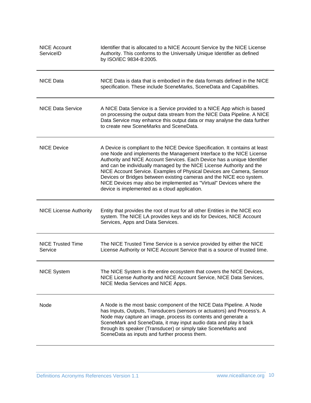| <b>NICE Account</b><br>ServiceID    | Identifier that is allocated to a NICE Account Service by the NICE License<br>Authority. This conforms to the Universally Unique Identifier as defined<br>by ISO/IEC 9834-8:2005.                                                                                                                                                                                                                                                                                                                                                                                                  |
|-------------------------------------|------------------------------------------------------------------------------------------------------------------------------------------------------------------------------------------------------------------------------------------------------------------------------------------------------------------------------------------------------------------------------------------------------------------------------------------------------------------------------------------------------------------------------------------------------------------------------------|
| <b>NICE Data</b>                    | NICE Data is data that is embodied in the data formats defined in the NICE<br>specification. These include SceneMarks, SceneData and Capabilities.                                                                                                                                                                                                                                                                                                                                                                                                                                 |
| <b>NICE Data Service</b>            | A NICE Data Service is a Service provided to a NICE App which is based<br>on processing the output data stream from the NICE Data Pipeline. A NICE<br>Data Service may enhance this output data or may analyse the data further<br>to create new SceneMarks and SceneData.                                                                                                                                                                                                                                                                                                         |
| <b>NICE Device</b>                  | A Device is compliant to the NICE Device Specification. It contains at least<br>one Node and implements the Management Interface to the NICE License<br>Authority and NICE Account Services. Each Device has a unique Identifier<br>and can be individually managed by the NICE License Authority and the<br>NICE Account Service. Examples of Physical Devices are Camera, Sensor<br>Devices or Bridges between existing cameras and the NICE eco system.<br>NICE Devices may also be implemented as "Virtual" Devices where the<br>device is implemented as a cloud application. |
| <b>NICE License Authority</b>       | Entity that provides the root of trust for all other Entities in the NICE eco<br>system. The NICE LA provides keys and ids for Devices, NICE Account<br>Services, Apps and Data Services.                                                                                                                                                                                                                                                                                                                                                                                          |
| <b>NICE Trusted Time</b><br>Service | The NICE Trusted Time Service is a service provided by either the NICE<br>License Authority or NICE Account Service that is a source of trusted time.                                                                                                                                                                                                                                                                                                                                                                                                                              |
| <b>NICE System</b>                  | The NICE System is the entire ecosystem that covers the NICE Devices,<br>NICE License Authority and NICE Account Service, NICE Data Services,<br>NICE Media Services and NICE Apps.                                                                                                                                                                                                                                                                                                                                                                                                |
| Node                                | A Node is the most basic component of the NICE Data Pipeline. A Node<br>has Inputs, Outputs, Transducers (sensors or actuators) and Process's. A<br>Node may capture an image, process its contents and generate a<br>SceneMark and SceneData, it may input audio data and play it back<br>through its speaker (Transducer) or simply take SceneMarks and<br>SceneData as inputs and further process them.                                                                                                                                                                         |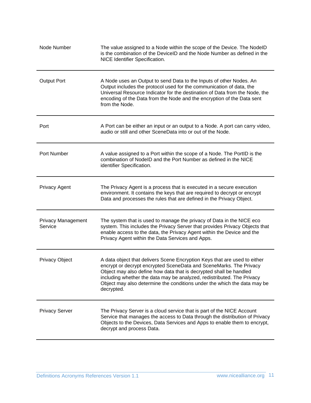| Node Number                          | The value assigned to a Node within the scope of the Device. The NodelD<br>is the combination of the DeviceID and the Node Number as defined in the<br>NICE Identifier Specification.                                                                                                                                                                                                     |
|--------------------------------------|-------------------------------------------------------------------------------------------------------------------------------------------------------------------------------------------------------------------------------------------------------------------------------------------------------------------------------------------------------------------------------------------|
| <b>Output Port</b>                   | A Node uses an Output to send Data to the Inputs of other Nodes. An<br>Output includes the protocol used for the communication of data, the<br>Universal Resource Indicator for the destination of Data from the Node, the<br>encoding of the Data from the Node and the encryption of the Data sent<br>from the Node.                                                                    |
| Port                                 | A Port can be either an input or an output to a Node. A port can carry video,<br>audio or still and other SceneData into or out of the Node.                                                                                                                                                                                                                                              |
| Port Number                          | A value assigned to a Port within the scope of a Node. The PortID is the<br>combination of NodelD and the Port Number as defined in the NICE<br>identifier Specification.                                                                                                                                                                                                                 |
| <b>Privacy Agent</b>                 | The Privacy Agent is a process that is executed in a secure execution<br>environment. It contains the keys that are required to decrypt or encrypt<br>Data and processes the rules that are defined in the Privacy Object.                                                                                                                                                                |
| <b>Privacy Management</b><br>Service | The system that is used to manage the privacy of Data in the NICE eco<br>system. This includes the Privacy Server that provides Privacy Objects that<br>enable access to the data, the Privacy Agent within the Device and the<br>Privacy Agent within the Data Services and Apps.                                                                                                        |
| <b>Privacy Object</b>                | A data object that delivers Scene Encryption Keys that are used to either<br>encrypt or decrypt encrypted SceneData and SceneMarks. The Privacy<br>Object may also define how data that is decrypted shall be handled<br>including whether the data may be analyzed, redistributed. The Privacy<br>Object may also determine the conditions under the which the data may be<br>decrypted. |
| <b>Privacy Server</b>                | The Privacy Server is a cloud service that is part of the NICE Account<br>Service that manages the access to Data through the distribution of Privacy<br>Objects to the Devices, Data Services and Apps to enable them to encrypt,<br>decrypt and process Data.                                                                                                                           |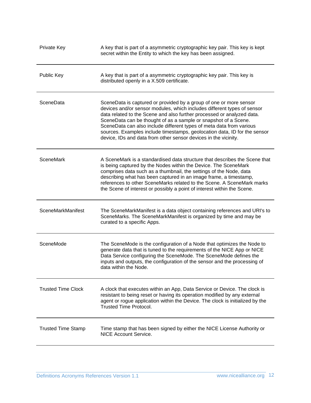| Private Key               | A key that is part of a asymmetric cryptographic key pair. This key is kept<br>secret within the Entity to which the key has been assigned.                                                                                                                                                                                                                                                                                                                                                                        |
|---------------------------|--------------------------------------------------------------------------------------------------------------------------------------------------------------------------------------------------------------------------------------------------------------------------------------------------------------------------------------------------------------------------------------------------------------------------------------------------------------------------------------------------------------------|
| Public Key                | A key that is part of a asymmetric cryptographic key pair. This key is<br>distributed openly in a X.509 certificate.                                                                                                                                                                                                                                                                                                                                                                                               |
| SceneData                 | SceneData is captured or provided by a group of one or more sensor<br>devices and/or sensor modules, which includes different types of sensor<br>data related to the Scene and also further processed or analyzed data.<br>SceneData can be thought of as a sample or snapshot of a Scene.<br>SceneData can also include different types of meta data from various<br>sources. Examples include timestamps, geolocation data, ID for the sensor<br>device, IDs and data from other sensor devices in the vicinity. |
| <b>SceneMark</b>          | A SceneMark is a standardised data structure that describes the Scene that<br>is being captured by the Nodes within the Device. The SceneMark<br>comprises data such as a thumbnail, the settings of the Node, data<br>describing what has been captured in an image frame, a timestamp,<br>references to other SceneMarks related to the Scene. A SceneMark marks<br>the Scene of interest or possibly a point of interest within the Scene.                                                                      |
| SceneMarkManifest         | The SceneMarkManifest is a data object containing references and URI's to<br>SceneMarks. The SceneMarkManifest is organized by time and may be<br>curated to a specific Apps.                                                                                                                                                                                                                                                                                                                                      |
| SceneMode                 | The SceneMode is the configuration of a Node that optimizes the Node to<br>generate data that is tuned to the requirements of the NICE App or NICE<br>Data Service configuring the SceneMode. The SceneMode defines the<br>inputs and outputs, the configuration of the sensor and the processing of<br>data within the Node.                                                                                                                                                                                      |
| <b>Trusted Time Clock</b> | A clock that executes within an App, Data Service or Device. The clock is<br>resistant to being reset or having its operation modified by any external<br>agent or rogue application within the Device. The clock is initialized by the<br><b>Trusted Time Protocol.</b>                                                                                                                                                                                                                                           |
| <b>Trusted Time Stamp</b> | Time stamp that has been signed by either the NICE License Authority or<br><b>NICE Account Service.</b>                                                                                                                                                                                                                                                                                                                                                                                                            |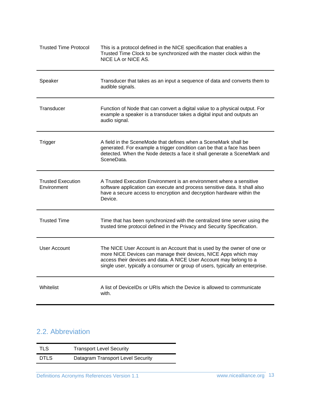| <b>Trusted Time Protocol</b>            | This is a protocol defined in the NICE specification that enables a<br>Trusted Time Clock to be synchronized with the master clock within the<br>NICE LA or NICE AS.                                                                                                                              |
|-----------------------------------------|---------------------------------------------------------------------------------------------------------------------------------------------------------------------------------------------------------------------------------------------------------------------------------------------------|
| Speaker                                 | Transducer that takes as an input a sequence of data and converts them to<br>audible signals.                                                                                                                                                                                                     |
| Transducer                              | Function of Node that can convert a digital value to a physical output. For<br>example a speaker is a transducer takes a digital input and outputs an<br>audio signal.                                                                                                                            |
| Trigger                                 | A field in the SceneMode that defines when a SceneMark shall be<br>generated. For example a trigger condition can be that a face has been<br>detected. When the Node detects a face it shall generate a SceneMark and<br>SceneData.                                                               |
| <b>Trusted Execution</b><br>Environment | A Trusted Execution Environment is an environment where a sensitive<br>software application can execute and process sensitive data. It shall also<br>have a secure access to encryption and decryption hardware within the<br>Device.                                                             |
| <b>Trusted Time</b>                     | Time that has been synchronized with the centralized time server using the<br>trusted time protocol defined in the Privacy and Security Specification.                                                                                                                                            |
| User Account                            | The NICE User Account is an Account that is used by the owner of one or<br>more NICE Devices can manage their devices, NICE Apps which may<br>access their devices and data. A NICE User Account may belong to a<br>single user, typically a consumer or group of users, typically an enterprise. |
| Whitelist                               | A list of DeviceIDs or URIs which the Device is allowed to communicate<br>with.                                                                                                                                                                                                                   |

## <span id="page-12-0"></span>2.2. Abbreviation

| TLS         | <b>Transport Level Security</b>   |
|-------------|-----------------------------------|
| <b>DTLS</b> | Datagram Transport Level Security |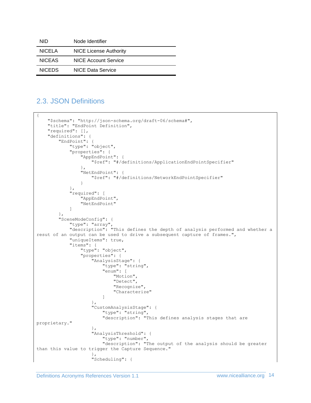| NID           | Node Identifier               |
|---------------|-------------------------------|
| <b>NICELA</b> | <b>NICE License Authority</b> |
| <b>NICEAS</b> | NICE Account Service          |
| <b>NICEDS</b> | NICE Data Service             |

#### <span id="page-13-0"></span>2.3. JSON Definitions

```
{
     "$schema": "http://json-schema.org/draft-06/schema#",
     "title": "EndPoint Definition",
     "required": [],
     "definitions": {
         "EndPoint": {
             "type": "object",
              "properties": {
                  "AppEndPoint": {
                      "$ref": "#/definitions/ApplicationEndPointSpecifier"
                  },
                  "NetEndPoint": {
                      "$ref": "#/definitions/NetworkEndPointSpecifier"
 }
 },
 "required": [
                  "AppEndPoint",
                  "NetEndPoint"
 ]
         },
         "SceneModeConfig": {
 "type": "array",
 "description": "This defines the depth of analysis performed and whether a 
resut of an output can be used to drive a subsequent capture of frames.",
              "uniqueItems": true,
              "items": {
                  "type": "object",
                  "properties": {
                      "AnalysisStage": {
                          "type": "string",
                          "enum": [
                               "Motion",
                              "Detect",
                              "Recognize",
                              "Characterize"
\sim 100 \sim 100 \sim 100 \sim 100 \sim 100 \sim 100 \sim 100 \sim 100 \sim 100 \sim 100 \sim 100 \sim 100 \sim 100 \sim 100 \sim 100 \sim 100 \sim 100 \sim 100 \sim 100 \sim 100 \sim 100 \sim 100 \sim 100 \sim 100 \sim 
 },
 "CustomAnalysisStage": {
 "type": "string",
                         "description": "This defines analysis stages that are 
proprietary."
 },
                     "AnalysisThreshold": {
                          "type": "number",
                         "description": "The output of the analysis should be greater 
than this value to trigger the Capture Sequence."
 },
                     "Scheduling": {
```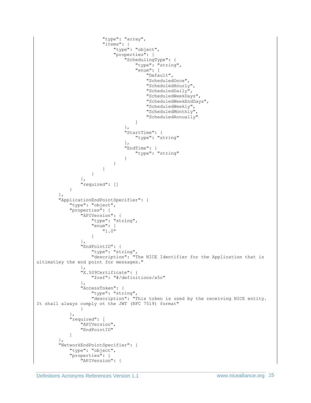```
 "type": "array",
                      "items": {
                          "type": "object",
                         "properties": {
                             "SchedulingType": {
                                 "type": "string",
                                 "enum": [
                                    "Default",
                                   "ScheduledOnce",
                                   "ScheduledHourly",
                                   "ScheduledDaily",
                                    "ScheduledWeekDays",
                                    "ScheduledWeekEndDays",
                                   "ScheduledWeekly",
                                   "ScheduledMonthly",
                                   "ScheduledAnnually"
\mathbb{R}^2 , the contract of the contract of the contract of \mathbb{R}^2 },
                            "StartTime": {
                                "type": "string"
 },
                            "EndTime": {
                                 "type": "string"
 }
 }
 }
 }
               },
               "required": []
 }
        },
        "ApplicationEndPointSpecifier": {
           "type": "object",
           "properties": {
               "APIVersion": {
 "type": "string",
                  "enum": [
                      "1.0"
 ]
               },
               "EndPointID": {
                  "type": "string",
                 "description": "The NICE Identifier for the Application that is 
ultimatley the end point for messages."
 },
               "X.509Certificate": {
                   "$ref": "#/definitions/x5c"
               },
               "AccessToken": {
                   "type": "string",
                  "description": "This token is used by the receiving NICE entity. 
It shall always comply ot the JWT (RFC 7519) format"
 }
           },
            "required": [
               "APIVersion",
               "EndPointID"
 ]
        },
        "NetworkEndPointSpecifier": {
           "type": "object",
           "properties": {
               "APIVersion": {
```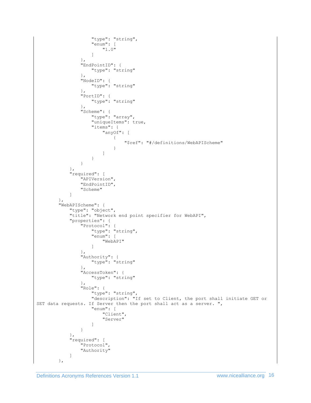```
 "type": "string",
                      "enum": [
                          "1.0"
 ]
                  },
                  "EndPointID": {
                     "type": "string"
                  },
                  "NodeID": {
                      "type": "string"
                  },
                  "PortID": {
                     "type": "string"
                  },
                  "Scheme": {
                      "type": "array",
                     "uniqueItems": true,
                     "items": {
                          "anyOf": [
 {
                                   "$ref": "#/definitions/WebAPIScheme"
 }
\sim 100 \sim 100 \sim 100 \sim 100 \sim 100 \sim 100 \sim 100 \sim 100 \sim 100 \sim 100 \sim 100 \sim 100 \sim 100 \sim 100 \sim 100 \sim 100 \sim 100 \sim 100 \sim 100 \sim 100 \sim 100 \sim 100 \sim 100 \sim 100 \sim 
 }
 }
              },
              "required": [
                  "APIVersion",
                  "EndPointID",
                  "Scheme"
             ]
         },
          "WebAPIScheme": {
              "type": "object",
              "title": "Network end point specifier for WebAPI",
              "properties": {
                  "Protocol": {
 "type": "string",
                      "enum": [
                          "WebAPI"
 ]
                  },
                  "Authority": {
                     "type": "string"
                  },
                  "AccessToken": {
                      "type": "string"
                  },
                  "Role": {
                      "type": "string",
                     "description": "If set to Client, the port shall initiate GET or 
SET data requests. If Server then the port shall act as a server. ",
                      "enum": [
                          "Client",
                          "Server"
 ]
 }
              },
              "required": [
                  "Protocol",
                  "Authority"
 ]
         },
```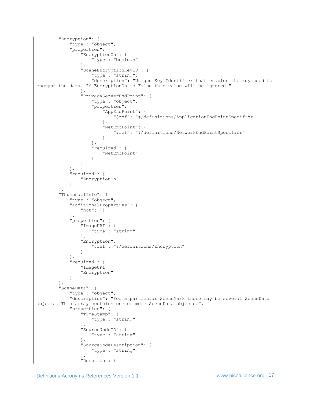```
 "Encryption": {
            "type": "object",
            "properties": {
               "EncryptionOn": {
                   "type": "boolean"
               },
               "SceneEncryptionKeyID": {
                   "type": "string",
                  "description": "Unique Key Identifier that enables the key used to 
encrypt the data. If EncryptionOn is False this value will be ignored."
 },
               "PrivacyServerEndPoint": {
                   "type": "object",
                  "properties": {
                       "AppEndPoint": {
                          "$ref": "#/definitions/ApplicationEndPointSpecifier"
 },
                      "NetEndPoint": {
                          "$ref": "#/definitions/NetworkEndPointSpecifier"
 }
 },
                  "required": [
                       "NetEndPoint"
 ]
 }
 },
            "required": [
               "EncryptionOn"
 ]
        },
        "ThumbnailInfo": {
            "type": "object",
            "additionalProperties": {
               "not": {}
            },
            "properties": {
               "ImageURI": {
                   "type": "string"
               },
               "Encryption": {
                   "$ref": "#/definitions/Encryption"
 }
            },
            "required": [
               "ImageURI",
               "Encryption"
 ]
        },
        "SceneData": {
            "type": "object",
            "description": "For a particular SceneMark there may be several SceneData 
objects. This array contains one or more SceneData objects.",
            "properties": {
               "TimeStamp": {
                   "type": "string"
 },
               "SourceNodeID": {
                   "type": "string"
 },
               "SourceNodeDescription": {
                   "type": "string"
               },
               "Duration": {
```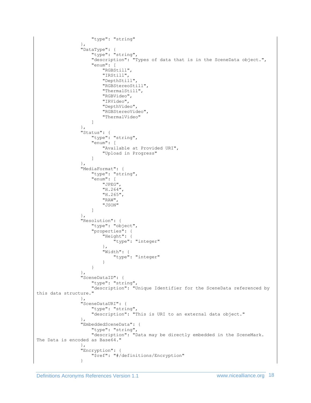```
 "type": "string"
 },
 "DataType": {
                   "type": "string",
                  "description": "Types of data that is in the SceneData object.",
                  "enum": [
                      "RGBStill",
                     "IRStill",
                     "DepthStill",
                     "RGBStereoStill",
                     "ThermalStill",
                     "RGBVideo",
                     "IRVideo",
                     "DepthVideo",
                     "RGBStereoVideo",
                     "ThermalVideo"
 ]
               },
               "Status": {
                   "type": "string",
                  "enum": [
                      "Available at Provided URI",
                     "Upload in Progress"
 ]
               },
               "MediaFormat": {
                   "type": "string",
                  "enum": [
                      "JPEG",
                     "H.264",
                     "H.265",
                     "RAW",
                     "JSON"
 ]
               },
               "Resolution": {
                   "type": "object",
                  "properties": {
                     .<br>"Height": {
                          "type": "integer"
 },
                     "Width": {
                          "type": "integer"
 }
 }
               },
               "SceneDataID": {
                  "type": "string",
                   "description": "Unique Identifier for the SceneData referenced by 
this data structure."
 },
 "SceneDataURI": {
                   "type": "string",
                  "description": "This is URI to an external data object."
               },
               "EmbeddedSceneData": {
                   "type": "string",
                 "description": "Data may be directly embedded in the SceneMark. 
The Data is encoded as Base64."
               },
               "Encryption": {
                   "$ref": "#/definitions/Encryption"
 }
```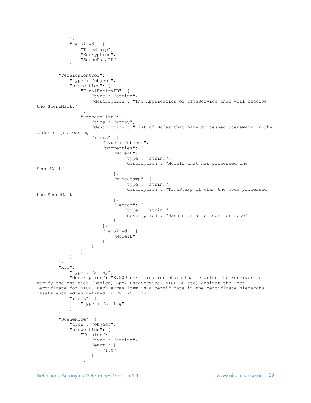```
 },
              "required": [
                  "TimeStamp",
                  "Encryption",
                  "SceneDataID"
 ]
         },
         "VersionControl": {
              "type": "object",
              "properties": {
                  "FinalEntityID": {
                      "type": "string",
                     "description": "The Application or DataService that will receive 
the SceneMark."
                  },
                  "ProcessList": {
                      "type": "array",
                     "description": "List of Nodes that have processed SceneMark in the 
order of processing. ",
                      "items": {
                          "type": "object",
                           "properties": {
                               "NodeID": {
                                   "type": "string",
                                  "description": "NodeID that has processed the 
SceneMark"
 },
                               "TimeStamp": {
                                   "type": "string",
                                  "description": "TimeStamp of when the Node processed 
the SceneMark"
 },
                               "Vector": {
                                  "type": "string",
                                  "description": "Hash of status code for node"
 }
 },
                          "required": [
                              .<br>"NodeID"
\sim 100 \sim 100 \sim 100 \sim 100 \sim 100 \sim 100 \sim 100 \sim 100 \sim 100 \sim 100 \sim 100 \sim 100 \sim 100 \sim 100 \sim 100 \sim 100 \sim 100 \sim 100 \sim 100 \sim 100 \sim 100 \sim 100 \sim 100 \sim 100 \sim 
 }
 }
             }
         },
        "x5c": {
              "type": "array",
              "description": "X.509 certification chain that enables the receiver to 
verify the entities (Device, App, DataService, NICE AS etc) against the Root 
Certificate for NICE. Each array item is a certificate in the certificate hierarchy, 
Base64 encoded as defined in RFC 7517.\n",
              "items": {
                  "type": "string"
 }
 },
 "SceneMode": {
              "type": "object",
              "properties": {
                  "Version": {
                      "type": "string",
                     "enum": [
                          "1.0"
 ]
                  },
```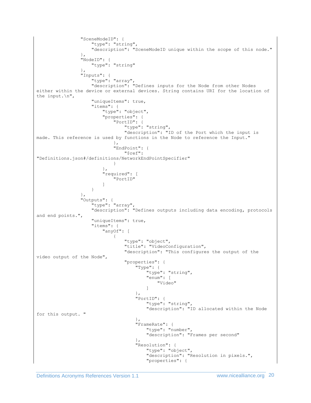```
 "SceneModeID": {
                       "type": "string",
                      "description": "SceneModeID unique within the scope of this node."
 },
                   "NodeID": {
                       "type": "string"
 },
                   "Inputs": {
                       "type": "array",
                       "description": "Defines inputs for the Node from other Nodes 
either within the device or external devices. String contains URI for the location of 
the input.\n",
                       "uniqueItems": true,
                      "items": {
                            "type": "object",
                            "properties": {
                                 "PortID": {
                                     "type": "string",
                                    "description": "ID of the Port which the input is 
made. This reference is used by functions in the Node to reference the Input."
 },
                               "EndPoint": {
                                     "$ref": 
"Definitions.json#/definitions/NetworkEndPointSpecifier"
 }
 },
                           "required": [
                                "PortID"
\sim 100 \sim 100 \sim 100 \sim 100 \sim 100 \sim 100 \sim 100 \sim 100 \sim 100 \sim 100 \sim 100 \sim 100 \sim 100 \sim 100 \sim 100 \sim 100 \sim 100 \sim 100 \sim 100 \sim 100 \sim 100 \sim 100 \sim 100 \sim 100 \sim 
 }
                   },
                   "Outputs": {
                       "type": "array",
                       "description": "Defines outputs including data encoding, protocols 
and end points.",
                       "uniqueItems": true,
                      "items": {
                            "anyOf": [
 {
                                     "type": "object",
                                    "title": "VideoConfiguration",
                                    "description": "This configures the output of the 
video output of the Node",
                                     "properties": {
                                         "Type": {
                                              "type": "string",
                                             "enum": [
                                                  "Video"
\mathbb{R}^n , the contract of the contract of the contract of the contract of the contract of the contract of the contract of the contract of the contract of the contract of the contract of the contract of the contract of 
 },
                                        "PortID": {
                                              "type": "string",
                                             "description": "ID allocated within the Node 
for this output. "
 },
                                         "FrameRate": {
                                              "type": "number",
                                             "description": "Frames per second"
 },
                                         "Resolution": {
                                              "type": "object",
                                             "description": "Resolution in pixels.",
                                              "properties": {
```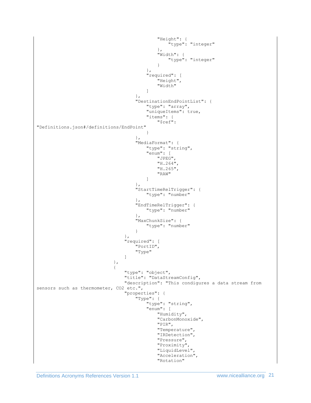```
 "Height": {
                                                "type": "integer"
\},
                                           "Width": {
                                                "type": "integer"
 }
 },
                                       "required": [
                                            "Height",
                                           "Width"
\mathbb{R}^n , the contract of the contract of the contract of the contract of the contract of the contract of the contract of the contract of the contract of the contract of the contract of the contract of the contract of 
 },
                                   "DestinationEndPointList": {
                                        "type": "array",
                                       "uniqueItems": true,
                                       "items": {
                                            "$ref": 
"Definitions.json#/definitions/EndPoint"
 }
 },
                                    "MediaFormat": {
                                        "type": "string",
                                       "enum": [
                                            "JPEG",
                                            "H.264",
                                            "H.265",
                                           "RAW"
\mathbb{R}^n , the contract of the contract of the contract of the contract of the contract of the contract of the contract of the contract of the contract of the contract of the contract of the contract of the contract of 
 },
                                    "StartTimeRelTrigger": {
                                        "type": "number"
 },
                                   "EndTimeRelTrigger": {
                                       "type": "number"
 },
                                   "MaxChunkSize": {
                                        "type": "number"
 }
 },
                               "required": [
                                    "PortID",
                                   "Type"
 ]
 },
                           {
                                "type": "object",
                                "title": "DataStreamConfig",
                                "description": "This condigures a data stream from 
sensors such as thermometer, CO2 etc.",
                               "properties": {
                                    "Type": {
                                        "type": "string",
                                       "enum": [
                                            "Humidity",
                                           "CarbonMonoxide",
                                            "PIR",
                                            "Temperature",
                                           "IRDetection",
                                           "Pressure",
                                           "Proximity",
                                           "LiquidLevel",
                                           "Acceleration",
                                           "Rotation"
```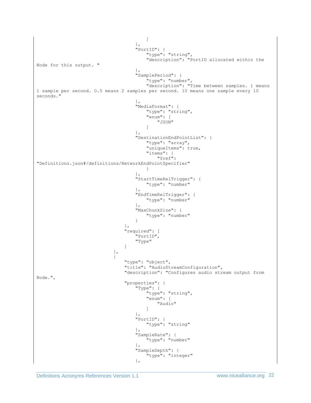```
\mathbb{R}^n , the contract of the contract of the contract of the contract of the contract of the contract of the contract of the contract of the contract of the contract of the contract of the contract of the contract of 
 },
                                      \},<br>"PortID": {<br>\frac{1}{2}"type": "string",
                                          "description": "PortID allocated within the 
Node for this output. "
 },
                                      },<br>"SamplePeriod": {
                                           "type": "number",
                                          "description": "Time between samples. 1 means 
1 sample per second. O.5 means 2 samples per second. 10 means one sample every 10 
seconds."
 },
                                      "MediaFormat": {
                                           "type": "string",
                                           "enum": [
                                               "JSON"
\mathbb{R}^n , the contract of the contract of the contract of the contract of the contract of the contract of the contract of the contract of the contract of the contract of the contract of the contract of the contract of 
 },
                                      "DestinationEndPointList": {
                                           "type": "array",
                                          "uniqueItems": true,
                                          "items": {
                                               "$ref": 
"Definitions.json#/definitions/NetworkEndPointSpecifier"
 }
 },
                                      "StartTimeRelTrigger": {
                                           "type": "number"
 },
                                      "EndTimeRelTrigger": {
                                           "type": "number"
 },
                                      "MaxChunkSize": {
                                           "type": "number"
 }
 },
                                  "required": [
                                      .<br>"PortID",
                                       "Type"
 ]
 },
                              {
                                   "type": "object",
                                  "title": "AudioStreamConfiguration",
                                  "description": "Configures audio stream output from 
Node.",
                                  "properties": {
                                       "Type": {
                                           "type": "string",
                                          "enum": [
                                               "Audio"
\mathbb{R}^n , the contract of the contract of the contract of the contract of the contract of the contract of the contract of the contract of the contract of the contract of the contract of the contract of the contract of 
 },
                                      "PortID": {
                                          "type": "string"
 },
                                       "SampleRate": {
                                           "type": "number"
 },
                                      "SampleDepth": {
                                           "type": "integer"
 },
```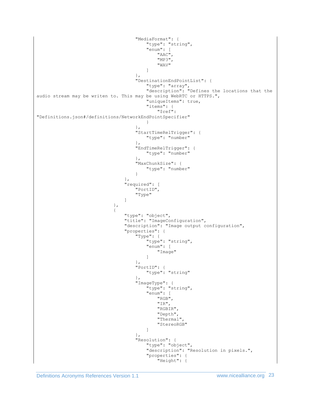```
 "MediaFormat": {
                                             "type": "string",
                                            "enum": [
                                                 "AAC",
                                                "MP3",
                                                "WAV"
\mathbb{R}^n , the contract of the contract of the contract of the contract of the contract of the contract of the contract of the contract of the contract of the contract of the contract of the contract of the contract of 
 },
                                         "DestinationEndPointList": {
 "type": "array",
                                            "description": "Defines the locations that the 
audio stream may be writen to. This may be using WebRTC or HTTPS.",
                                            "uniqueItems": true,
                                            "items": {
                                                 "$ref": 
"Definitions.json#/definitions/NetworkEndPointSpecifier"
 }
 },
                                        "StartTimeRelTrigger": {
                                            "type": "number"
 },
                                         "EndTimeRelTrigger": {
                                             "type": "number"
 },
                                        "MaxChunkSize": {
                                             "type": "number"
 }
 },
                                   "required": [
                                        "PortID",
                                       "Type"
 ]
 },
                               {
 "type": "object",
                                   "title": "ImageConfiguration",
                                   "description": "Image output configuration",
                                    "properties": {
                                        \overline{\text{``Type''}}: {
                                             "type": "string",
                                            "enum": [
                                                 "Image"
\mathbb{R}^n , the contract of the contract of the contract of the contract of the contract of the contract of the contract of the contract of the contract of the contract of the contract of the contract of the contract of 
 },
                                        "PortID": {
                                            "type": "string"
 },
                                        "ImageType": {
                                             "type": "string",
                                            "enum": [
                                                 "RGB",
                                                "IR",
                                                 "RGBIR",
                                                 "Depth",
                                                 "Thermal",
                                                 "StereoRGB"
\mathbb{R}^n , the contract of the contract of the contract of the contract of the contract of the contract of the contract of the contract of the contract of the contract of the contract of the contract of the contract of 
 },
                                       },<br>"Resolution": {
                                             "type": "object",
                                            "description": "Resolution in pixels.",
                                            "properties": {
                                                 "Height": {
```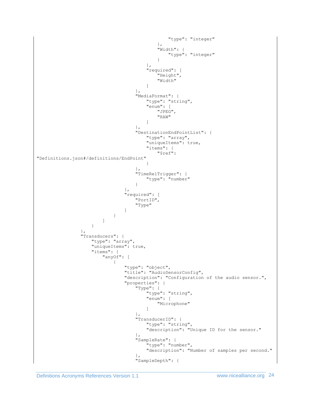```
 "type": "integer"
\},
                                                    ' width": {<br>"Width": {
                                                          "type": "integer"
 }
 },
                                               "required": [
                                                     "Height",
                                                     "Width"
\mathbb{R}^n , the contract of the contract of the contract of the contract of the contract of the contract of the contract of the contract of the contract of the contract of the contract of the contract of the contract of 
 },
                                           "MediaFormat": {
                                                "type": "string",
                                                "enum": [
                                                     "JPEG",
                                                    "RAW"
\mathbb{R}^n , the contract of the contract of the contract of the contract of the contract of the contract of the contract of the contract of the contract of the contract of the contract of the contract of the contract of 
 },
                                            "DestinationEndPointList": {
                                                "type": "array",
                                               "uniqueItems": true,
                                               "items": {
                                                     "$ref": 
"Definitions.json#/definitions/EndPoint"
 }
 },
                                           "TimeRelTrigger": {
                                                "type": "number"
 }
 },
                                      "required": [
                                           "PortID",
                                          "Type"
 ]
 }
\sim 100 \sim 100 \sim 100 \sim 100 \sim 100 \sim 100 \sim 100 \sim 100 \sim 100 \sim 100 \sim 100 \sim 100 \sim 100 \sim 100 \sim 100 \sim 100 \sim 100 \sim 100 \sim 100 \sim 100 \sim 100 \sim 100 \sim 100 \sim 100 \sim 
 }
                    },
                   "Transducers": {
                        "type": "array",
                       "uniqueItems": true,
                        "items": {
                             "anyOf": [
 {
                                       "type": "object",
                                      "title": "AudioSensorConfig",
                                      "description": "Configuration of the audio sensor.",
                                      "properties": {
                                            "Type": {
                                                "type": "string",
                                               "enum": [
                                                     "Microphone"
\mathbb{R}^n , the contract of the contract of the contract of the contract of the contract of the contract of the contract of the contract of the contract of the contract of the contract of the contract of the contract of 
 },
                                           "TransducerID": {
                                                "type": "string",
                                                "description": "Unique ID for the sensor."
 },
                                          "SampleRate": {
                                                "type": "number",
                                               "description": "Number of samples per second."
 },
                                           "SampleDepth": {
```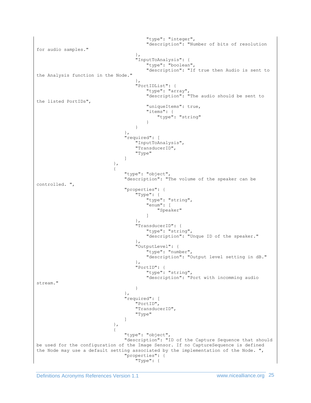"type": "integer", "description": "Number of bits of resolution for audio samples." }, "InputToAnalysis": { "type": "boolean", "description": "If true then Audio is sent to the Analysis function in the Node." }, },<br>"PortIDList": {<br>"Port "type": "array", "description": "The audio should be sent to the listed PortIDs", "uniqueItems": true, "items": { "type": "string" } } }, "required": [ .<br>"InputToAnalysis", "TransducerID", "Type" ] }, { "type": "object", "description": "The volume of the speaker can be controlled. ", "properties": { "Type": { "type": "string", "enum": [ "Speaker"  $\mathbb{R}^n$  , the contract of the contract of the contract of the contract of the contract of the contract of the contract of the contract of the contract of the contract of the contract of the contract of the contract of }, "TransducerID": { "type": "string", "description": "Unque ID of the speaker." }, "OutputLevel": { "type": "number", "description": "Output level setting in dB." }, "PortID": { "type": "string", "description": "Port with incomming audio stream." } }, "required": [ "PortID", "TransducerID", "Type" ] }, { "type": "object", "description": "ID of the Capture Sequence that should be used for the configuration of the Image Sensor. If no CaptureSequence is defined the Node may use a default setting associated by the implementation of the Node. ", "properties": { "Type": {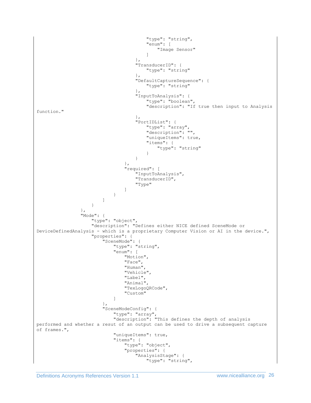```
 "type": "string",
                                          "enum": [
                                               "Image Sensor"
\mathbb{R}^n , the contract of the contract of the contract of the contract of the contract of the contract of the contract of the contract of the contract of the contract of the contract of the contract of the contract of 
 },
                                      "TransducerID": {
                                          "type": "string"
 },
                                       "DefaultCaptureSequence": {
                                           "type": "string"
 },
                                      "InputToAnalysis": {
                                           "type": "boolean",
                                           "description": "If true then input to Analysis 
function."
 },
                                     ' PortIDList": {
                                           "type": "array",
                                           "description": "",
                                          "uniqueItems": true,
                                          "items": {
                                               "type": "string"
 }
 }
 },
                                 "required": [
                                     .<br>"InputToAnalysis",
                                     "TransducerID",
                                     "Type"
 ]
 }
\sim 100 \sim 100 \sim 100 \sim 100 \sim 100 \sim 100 \sim 100 \sim 100 \sim 100 \sim 100 \sim 100 \sim 100 \sim 100 \sim 100 \sim 100 \sim 100 \sim 100 \sim 100 \sim 100 \sim 100 \sim 100 \sim 100 \sim 100 \sim 100 \sim 
 }
                  },
                  "Mode": {
                      "type": "object",
                     "description": "Defines either NICE defined SceneMode or 
DeviceDefinedAnalysis - which is a proprietary Computer Vision or AI in the device.",
                      "properties": {
                          "SceneMode": {
                             "type": "string",
                             "enum": [
                                  "Motion",
                                 "Face",
                                  "Human",
                                  "Vehicle",
                                 "Label",
                                 "Animal",
                                 "TexLogoQRCode",
                                 "Custom"
\overline{\phantom{a}} },
                         "SceneModeConfig": {
 "type": "array",
                             "description": "This defines the depth of analysis 
performed and whether a resut of an output can be used to drive a subsequent capture 
of frames.",
                              "uniqueItems": true,
                             "items": {
                                  "type": "object",
                                 "properties": {
                                      "AnalysisStage": {
                                           "type": "string",
```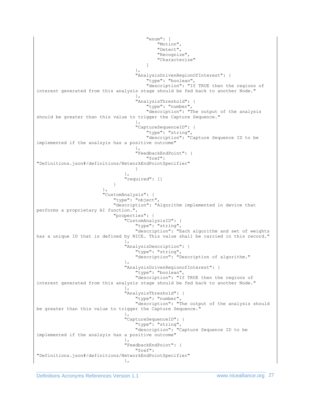```
 "enum": [
                                        "Motion",
                                        "Detect",
                                        "Recognize",
                                        "Characterize"
\mathbb{R}^n , the contract of the contract of the contract of the contract of the contract of the contract of the contract of the contract of the contract of the contract of the contract of the contract of the contract of 
 },
                                  "AnalysisDrivenRegionOfInterest": {
                                      "type": "boolean",
                                     "description": "If TRUE then the regions of 
interest generated from this analysis stage should be fed back to another Node."
 },
                                 "AnalysisThreshold": {
                                      "type": "number",
                                     "description": "The output of the analysis 
should be greater than this value to trigger the Capture Sequence."
 },
                                 "CaptureSequenceID": {
                                      "type": "string",
                                      "description": "Capture Sequence ID to be 
implemented if the analsyis has a positive outcome"
 },
                                 "FeedbackEndPoint": {
                                      "$ref": 
"Definitions.json#/definitions/NetworkEndPointSpecifier"
 }
 },
                             "required": []
 }
 },
                      "CustomAnalysis": {
                           "type": "object",
                          "description": "Algorithm implemented in device that 
performs a proprietary AI function.",
                           "properties": {
                              "CustomAnalysisID": {
                                  "type": "string",
                                 "description": "Each algorithm and set of weights 
has a unique ID that is defined by NICE. This value shall be carried in this record."
 },
                             "AnalysisDescription": {
                                  "type": "string",
                                 "description": "Description of algorithm."
 },
                             "AnalysisDrivenRegionofInterest": {
                                  "type": "boolean",
                                 "description": "If TRUE then the regions of 
interest generated from this analysis stage should be fed back to another Node."
 },
                             "AnalysisThreshold": {
                                  "type": "number",
                                 "description": "The output of the analysis should
be greater than this value to trigger the Capture Sequence."
                             },
                             "CaptureSequenceID": {
                                  "type": "string",
                                 "description": "Capture Sequence ID to be 
implemented if the analsyis has a positive outcome"
 },
                             "FeedbackEndPoint": {
                                  "$ref": 
"Definitions.json#/definitions/NetworkEndPointSpecifier"
 },
```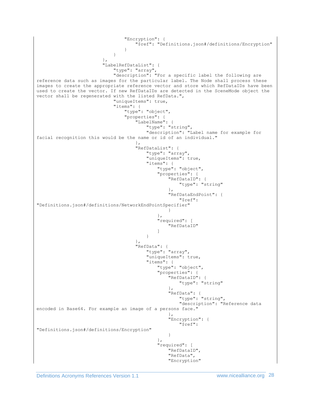```
 "Encryption": {
                               "$ref": "Definitions.json#/definitions/Encryption"
 }
 }
 },
                    "LabelRefDataList": {
                        "type": "array",
                       "description": "For a specific label the following are 
reference data such as images for the particular label. The Node shall process these 
images to create the appropriate reference vector and store which RefDataIDs have been 
used to create the vector. If new RefDataIDs are detected in the SceneMode object the 
vector shall be regenerated with the listed RefData.",
                        "uniqueItems": true,
                       "items": {
                           "type": "object",
                           "properties": {
                               "LabelName": {
                                  "type": "string",
                                 "description": "Label name for example for 
facial recognition this would be the name or id of an individual."
 },
                              "RefDataList": {
                                  "type": "array",
                                  "uniqueItems": true,
                                  "items": {
                                      "type": "object",
                                     "properties": {
                                         "RefDataID": {
                                            "type": "string"
 },
                                        "RefDataEndPoint": {
 "$ref": 
"Definitions.json#/definitions/NetworkEndPointSpecifier"
 }
\},
                                     "required": [
                                         "RefDataID"
\mathbb{R}^n . The contract of the contract of the contract of the contract of the contract of the contract of the contract of the contract of the contract of the contract of the contract of the contract of the contract of 
 }
 },
                               "RefData": {
                                  "type": "array",
                                 "uniqueItems": true,
                                 "items": {
                                      "type": "object",
                                     "properties": {
                                         "RefDataID": {
                                            "type": "string"
 },
                                        "RefData": {
                                           "type": "string",
                                           "description": "Reference data 
encoded in Base64. For example an image of a persons face."
 },
                                        "Encryption": {
                                            "$ref": 
"Definitions.json#/definitions/Encryption"
 }
\},
                                     "required": [
                                         "RefDataID",
                                        "RefData",
                                         "Encryption"
```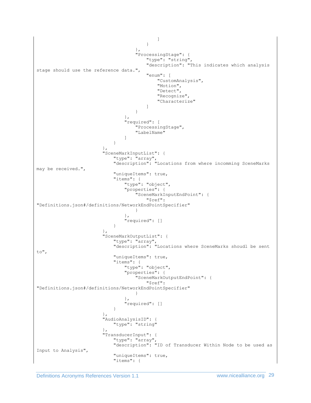```
\mathbb{R}^n . The contract of the contract of the contract of the contract of the contract of the contract of the contract of the contract of the contract of the contract of the contract of the contract of the contract of 
 }
 },
                                  "ProcessingStage": {
                                      "type": "string",
                                     "description": "This indicates which analysis 
stage should use the reference data.",
                                      "enum": [
                                          "CustomAnalysis",
                                         "Motion",
                                         "Detect",
                                         "Recognize",
                                         "Characterize"
\mathbb{R}^n , the contract of the contract of the contract of the contract of the contract of the contract of the contract of the contract of the contract of the contract of the contract of the contract of the contract of 
 }
 },
                              "required": [
                                  "ProcessingStage",
                                   "LabelName"
 ]
 }
 },
                      "SceneMarkInputList": {
 "type": "array",
                          "description": "Locations from where incomming SceneMarks 
may be received.",
                           "uniqueItems": true,
                          "items": {
                               "type": "object",
                               "properties": {
                                  "SceneMarkInputEndPoint": {
                                      "$ref": 
"Definitions.json#/definitions/NetworkEndPointSpecifier"
 }
 },
                               "required": []
 }
 },
                      "SceneMarkOutputList": {
                           "type": "array",
                          "description": "Locations where SceneMarks shoudl be sent 
to",
                           "uniqueItems": true,
                          "items": {
                               "type": "object",
                              "properties": {
                                   "SceneMarkOutputEndPoint": {
                                      "$ref": 
"Definitions.json#/definitions/NetworkEndPointSpecifier"
 }
 },
                              },<br>"required": []
 }
 },
                       "AudioAnalysisID": {
                           "type": "string"
 },
                       "TransducerInput": {
 "type": "array",
                          "description": "ID of Transducer Within Node to be used as 
Input to Analysis",
                           "uniqueItems": true,
                          "items": {
```